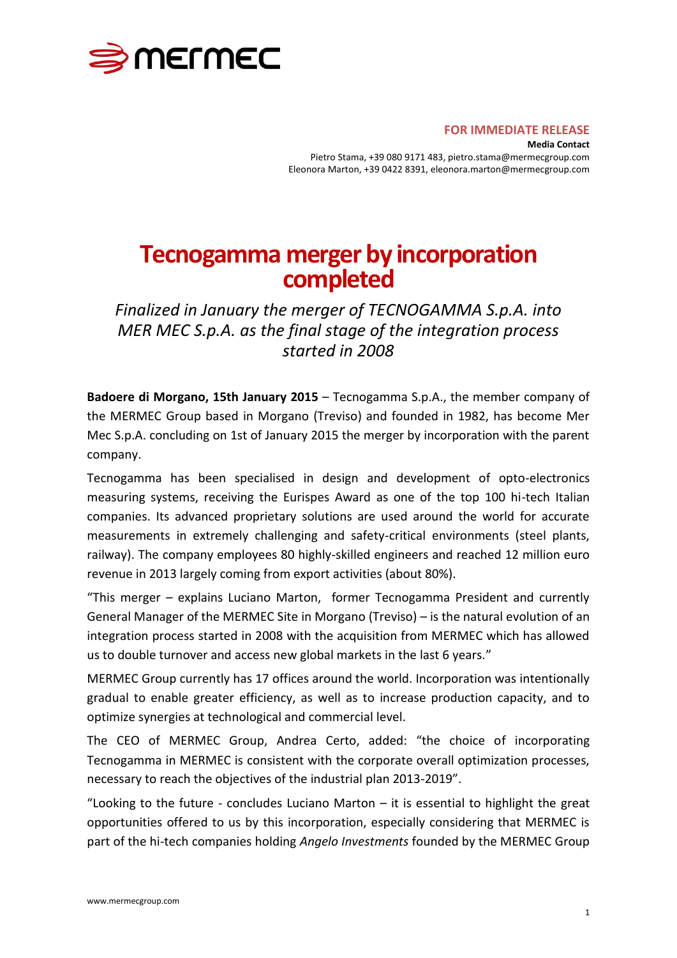

## **FOR IMMEDIATE RELEASE**

**Media Contact** Pietro Stama, +39 080 9171 483, pietro.stama@mermecgroup.com Eleonora Marton, +39 0422 8391, eleonora.marton@mermecgroup.com

## **Tecnogamma merger by incorporation completed**

*Finalized in January the merger of TECNOGAMMA S.p.A. into MER MEC S.p.A. as the final stage of the integration process started in 2008*

**Badoere di Morgano, 15th January 2015** – Tecnogamma S.p.A., the member company of the MERMEC Group based in Morgano (Treviso) and founded in 1982, has become Mer Mec S.p.A. concluding on 1st of January 2015 the merger by incorporation with the parent company.

Tecnogamma has been specialised in design and development of opto-electronics measuring systems, receiving the Eurispes Award as one of the top 100 hi-tech Italian companies. Its advanced proprietary solutions are used around the world for accurate measurements in extremely challenging and safety-critical environments (steel plants, railway). The company employees 80 highly-skilled engineers and reached 12 million euro revenue in 2013 largely coming from export activities (about 80%).

"This merger – explains Luciano Marton, former Tecnogamma President and currently General Manager of the MERMEC Site in Morgano (Treviso) – is the natural evolution of an integration process started in 2008 with the acquisition from MERMEC which has allowed us to double turnover and access new global markets in the last 6 years."

MERMEC Group currently has 17 offices around the world. Incorporation was intentionally gradual to enable greater efficiency, as well as to increase production capacity, and to optimize synergies at technological and commercial level.

The CEO of MERMEC Group, Andrea Certo, added: "the choice of incorporating Tecnogamma in MERMEC is consistent with the corporate overall optimization processes, necessary to reach the objectives of the industrial plan 2013-2019".

"Looking to the future - concludes Luciano Marton – it is essential to highlight the great opportunities offered to us by this incorporation, especially considering that MERMEC is part of the hi-tech companies holding *Angelo Investments* founded by the MERMEC Group